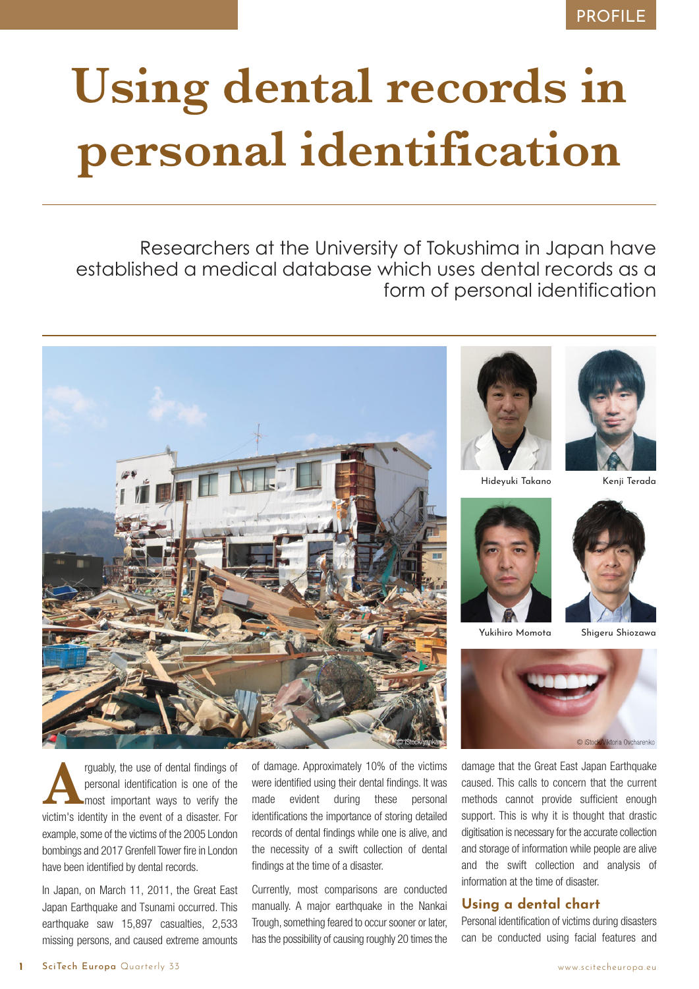## PROFILE

# **Using dental records in personal identification**

Researchers at the University of Tokushima in Japan have established a medical database which uses dental records as a form of personal identification



**Arguably, the use of dental findings of** personal identification is one of the most important ways to verify the victim's identity in the event of a disaster. For personal identification is one of the most important ways to verify the example, some of the victims of the 2005 London bombings and 2017 Grenfell Tower fire in London have been identified by dental records.

In Japan, on March 11, 2011, the Great East Japan Earthquake and Tsunami occurred. This earthquake saw 15,897 casualties, 2,533 missing persons, and caused extreme amounts

of damage. Approximately 10% of the victims were identified using their dental findings. It was made evident during these personal identifications the importance of storing detailed records of dental findings while one is alive, and the necessity of a swift collection of dental findings at the time of a disaster.

Currently, most comparisons are conducted manually. A major earthquake in the Nankai Trough, something feared to occur sooner or later, has the possibility of causing roughly 20 times the





Hideyuki Takano Kenji Terada





Yukihiro Momota Shigeru Shiozawa



damage that the Great East Japan Earthquake caused. This calls to concern that the current methods cannot provide sufficient enough support. This is why it is thought that drastic digitisation is necessary for the accurate collection and storage of information while people are alive and the swift collection and analysis of information at the time of disaster.

#### **Using a dental chart**

Personal identification of victims during disasters can be conducted using facial features and